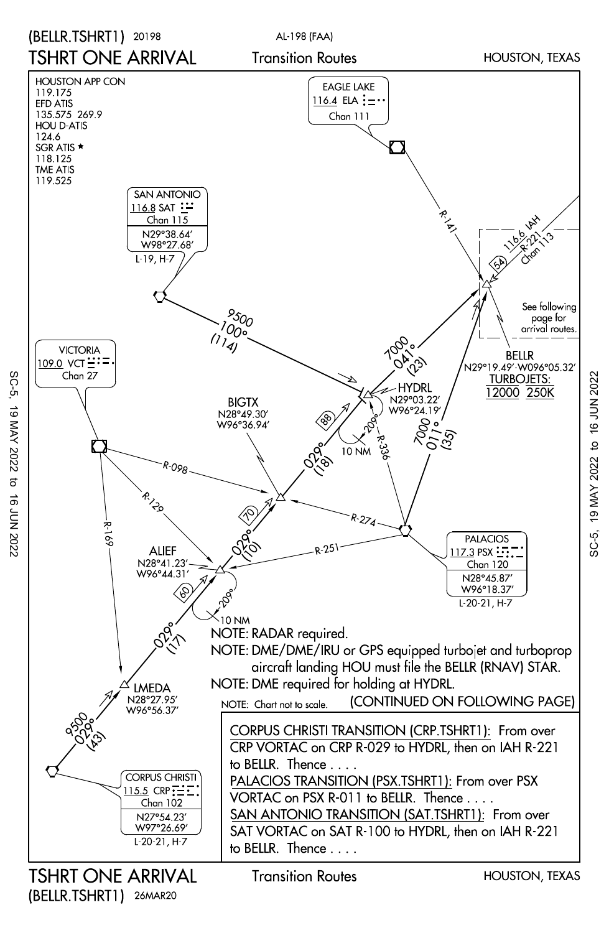

SC-5, 19 MAY 2022 to 16 JUN 2022

SC-5, SC-5, 19 MAY 2022 to 16 JUN 2022 19 MAY 2022  $\sigma$  $\vec{a}$ 720Z NOC

(BELLR.TSHRT1) 26MAR20